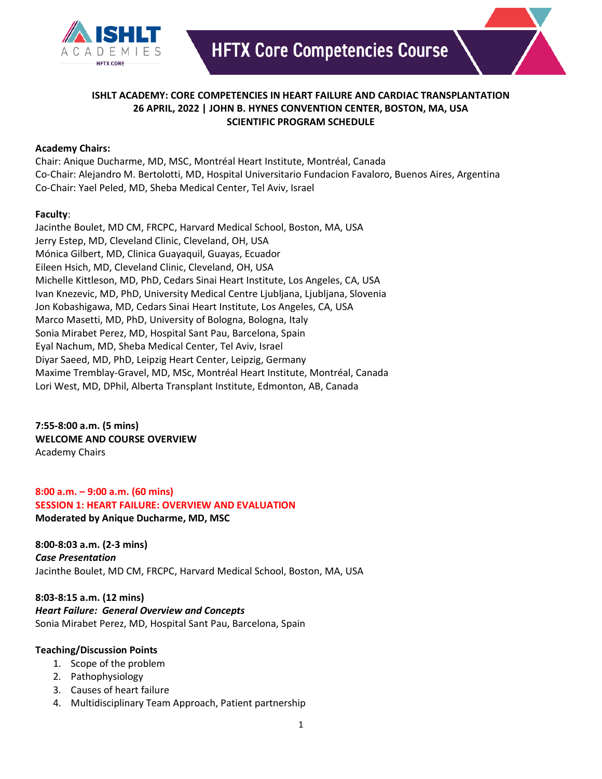

## **ISHLT ACADEMY: CORE COMPETENCIES IN HEART FAILURE AND CARDIAC TRANSPLANTATION 26 APRIL, 2022 | JOHN B. HYNES CONVENTION CENTER, BOSTON, MA, USA SCIENTIFIC PROGRAM SCHEDULE**

#### **Academy Chairs:**

Chair: Anique Ducharme, MD, MSC, Montréal Heart Institute, Montréal, Canada Co-Chair: Alejandro M. Bertolotti, MD, Hospital Universitario Fundacion Favaloro, Buenos Aires, Argentina Co-Chair: Yael Peled, MD, Sheba Medical Center, Tel Aviv, Israel

#### **Faculty**:

Jacinthe Boulet, MD CM, FRCPC, Harvard Medical School, Boston, MA, USA Jerry Estep, MD, Cleveland Clinic, Cleveland, OH, USA Mónica Gilbert, MD, Clinica Guayaquil, Guayas, Ecuador Eileen Hsich, MD, Cleveland Clinic, Cleveland, OH, USA Michelle Kittleson, MD, PhD, Cedars Sinai Heart Institute, Los Angeles, CA, USA Ivan Knezevic, MD, PhD, University Medical Centre Ljubljana, Ljubljana, Slovenia Jon Kobashigawa, MD, Cedars Sinai Heart Institute, Los Angeles, CA, USA Marco Masetti, MD, PhD, University of Bologna, Bologna, Italy Sonia Mirabet Perez, MD, Hospital Sant Pau, Barcelona, Spain Eyal Nachum, MD, Sheba Medical Center, Tel Aviv, Israel Diyar Saeed, MD, PhD, Leipzig Heart Center, Leipzig, Germany Maxime Tremblay-Gravel, MD, MSc, Montréal Heart Institute, Montréal, Canada Lori West, MD, DPhil, Alberta Transplant Institute, Edmonton, AB, Canada

**7:55-8:00 a.m. (5 mins) WELCOME AND COURSE OVERVIEW** Academy Chairs

**8:00 a.m. – 9:00 a.m. (60 mins) SESSION 1: HEART FAILURE: OVERVIEW AND EVALUATION Moderated by Anique Ducharme, MD, MSC** 

**8:00-8:03 a.m. (2-3 mins)** *Case Presentation* Jacinthe Boulet, MD CM, FRCPC, Harvard Medical School, Boston, MA, USA

**8:03-8:15 a.m. (12 mins)** *Heart Failure: General Overview and Concepts* Sonia Mirabet Perez, MD, Hospital Sant Pau, Barcelona, Spain

- 1. Scope of the problem
- 2. Pathophysiology
- 3. Causes of heart failure
- 4. Multidisciplinary Team Approach, Patient partnership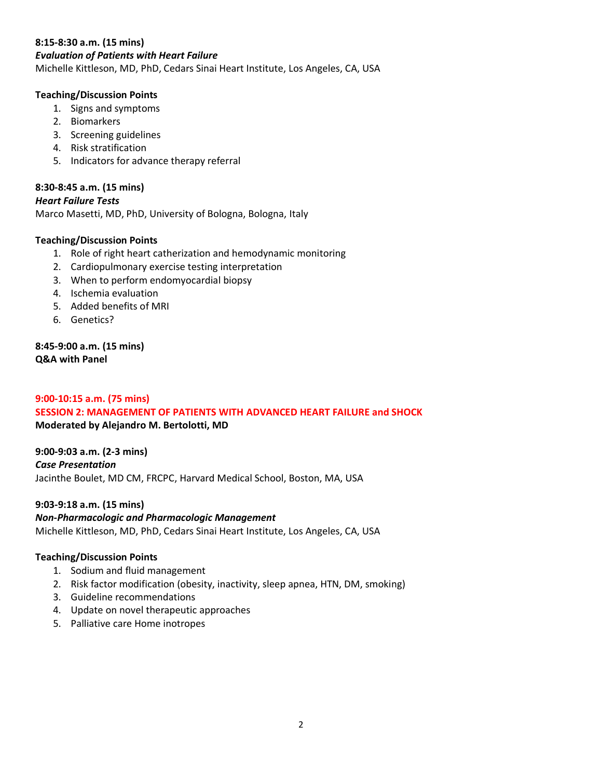#### **8:15-8:30 a.m. (15 mins)**

#### *Evaluation of Patients with Heart Failure*

Michelle Kittleson, MD, PhD, Cedars Sinai Heart Institute, Los Angeles, CA, USA

#### **Teaching/Discussion Points**

- 1. Signs and symptoms
- 2. Biomarkers
- 3. Screening guidelines
- 4. Risk stratification
- 5. Indicators for advance therapy referral

## **8:30-8:45 a.m. (15 mins)**

#### *Heart Failure Tests*

Marco Masetti, MD, PhD, University of Bologna, Bologna, Italy

#### **Teaching/Discussion Points**

- 1. Role of right heart catherization and hemodynamic monitoring
- 2. Cardiopulmonary exercise testing interpretation
- 3. When to perform endomyocardial biopsy
- 4. Ischemia evaluation
- 5. Added benefits of MRI
- 6. Genetics?

**8:45-9:00 a.m. (15 mins) Q&A with Panel**

#### **9:00-10:15 a.m. (75 mins) SESSION 2: MANAGEMENT OF PATIENTS WITH ADVANCED HEART FAILURE and SHOCK Moderated by Alejandro M. Bertolotti, MD**

**9:00-9:03 a.m. (2-3 mins)** *Case Presentation* Jacinthe Boulet, MD CM, FRCPC, Harvard Medical School, Boston, MA, USA

**9:03-9:18 a.m. (15 mins)** *Non-Pharmacologic and Pharmacologic Management* Michelle Kittleson, MD, PhD, Cedars Sinai Heart Institute, Los Angeles, CA, USA

- 1. Sodium and fluid management
- 2. Risk factor modification (obesity, inactivity, sleep apnea, HTN, DM, smoking)
- 3. Guideline recommendations
- 4. Update on novel therapeutic approaches
- 5. Palliative care Home inotropes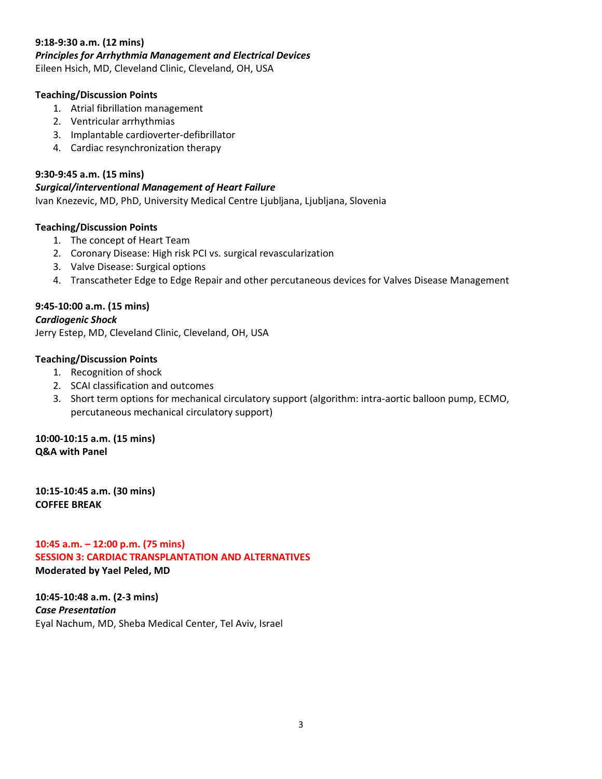#### **9:18-9:30 a.m. (12 mins)**

#### *Principles for Arrhythmia Management and Electrical Devices*

Eileen Hsich, MD, Cleveland Clinic, Cleveland, OH, USA

#### **Teaching/Discussion Points**

- 1. Atrial fibrillation management
- 2. Ventricular arrhythmias
- 3. Implantable cardioverter-defibrillator
- 4. Cardiac resynchronization therapy

#### **9:30-9:45 a.m. (15 mins)**

#### *Surgical/interventional Management of Heart Failure*

Ivan Knezevic, MD, PhD, University Medical Centre Ljubljana, Ljubljana, Slovenia

#### **Teaching/Discussion Points**

- 1. The concept of Heart Team
- 2. Coronary Disease: High risk PCI vs. surgical revascularization
- 3. Valve Disease: Surgical options
- 4. Transcatheter Edge to Edge Repair and other percutaneous devices for Valves Disease Management

#### **9:45-10:00 a.m. (15 mins)**

#### *Cardiogenic Shock*

Jerry Estep, MD, Cleveland Clinic, Cleveland, OH, USA

## **Teaching/Discussion Points**

## 1. Recognition of shock

- 2. SCAI classification and outcomes
- 3. Short term options for mechanical circulatory support (algorithm: intra-aortic balloon pump, ECMO, percutaneous mechanical circulatory support)

**10:00-10:15 a.m. (15 mins) Q&A with Panel**

**10:15-10:45 a.m. (30 mins) COFFEE BREAK**

**10:45 a.m. – 12:00 p.m. (75 mins) SESSION 3: CARDIAC TRANSPLANTATION AND ALTERNATIVES Moderated by Yael Peled, MD** 

**10:45-10:48 a.m. (2-3 mins)** *Case Presentation*  Eyal Nachum, MD, Sheba Medical Center, Tel Aviv, Israel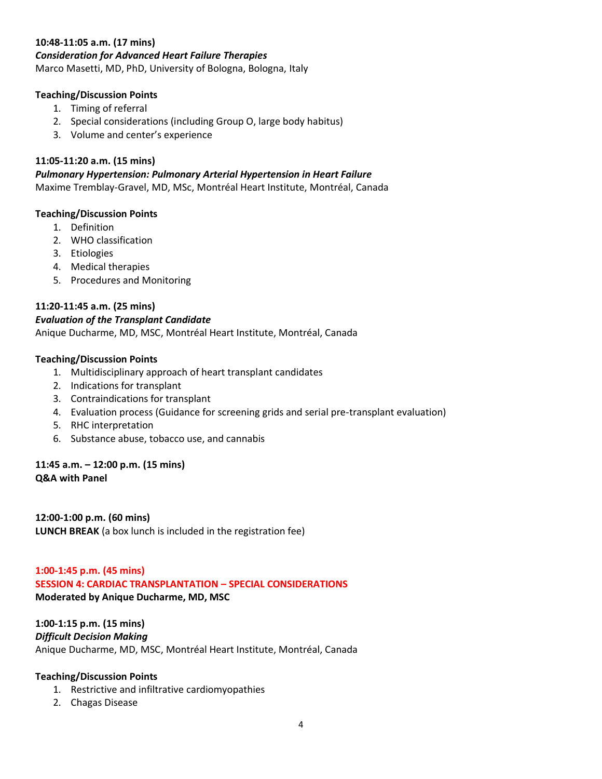#### **10:48-11:05 a.m. (17 mins)**

#### *Consideration for Advanced Heart Failure Therapies*

Marco Masetti, MD, PhD, University of Bologna, Bologna, Italy

#### **Teaching/Discussion Points**

- 1. Timing of referral
- 2. Special considerations (including Group O, large body habitus)
- 3. Volume and center's experience

#### **11:05-11:20 a.m. (15 mins)**

# *Pulmonary Hypertension: Pulmonary Arterial Hypertension in Heart Failure*

Maxime Tremblay-Gravel, MD, MSc, Montréal Heart Institute, Montréal, Canada

#### **Teaching/Discussion Points**

- 1. Definition
- 2. WHO classification
- 3. Etiologies
- 4. Medical therapies
- 5. Procedures and Monitoring

## **11:20-11:45 a.m. (25 mins)**

#### *Evaluation of the Transplant Candidate*

Anique Ducharme, MD, MSC, Montréal Heart Institute, Montréal, Canada

#### **Teaching/Discussion Points**

- 1. Multidisciplinary approach of heart transplant candidates
- 2. Indications for transplant
- 3. Contraindications for transplant
- 4. Evaluation process (Guidance for screening grids and serial pre-transplant evaluation)
- 5. RHC interpretation
- 6. Substance abuse, tobacco use, and cannabis

#### **11:45 a.m. – 12:00 p.m. (15 mins) Q&A with Panel**

**12:00-1:00 p.m. (60 mins) LUNCH BREAK** (a box lunch is included in the registration fee)

#### **1:00-1:45 p.m. (45 mins)**

#### **SESSION 4: CARDIAC TRANSPLANTATION – SPECIAL CONSIDERATIONS Moderated by Anique Ducharme, MD, MSC**

## **1:00-1:15 p.m. (15 mins)**

## *Difficult Decision Making*

Anique Ducharme, MD, MSC, Montréal Heart Institute, Montréal, Canada

- 1. Restrictive and infiltrative cardiomyopathies
- 2. Chagas Disease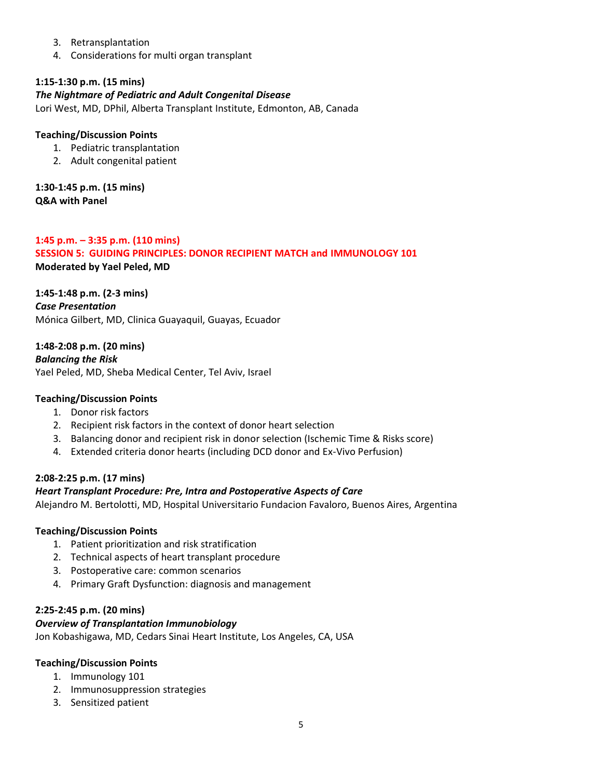- 3. Retransplantation
- 4. Considerations for multi organ transplant

## **1:15-1:30 p.m. (15 mins)**

#### *The Nightmare of Pediatric and Adult Congenital Disease*

Lori West, MD, DPhil, Alberta Transplant Institute, Edmonton, AB, Canada

#### **Teaching/Discussion Points**

- 1. Pediatric transplantation
- 2. Adult congenital patient

**1:30-1:45 p.m. (15 mins) Q&A with Panel**

**1:45 p.m. – 3:35 p.m. (110 mins) SESSION 5: GUIDING PRINCIPLES: DONOR RECIPIENT MATCH and IMMUNOLOGY 101 Moderated by Yael Peled, MD** 

**1:45-1:48 p.m. (2-3 mins)** *Case Presentation* Mónica Gilbert, MD, Clinica Guayaquil, Guayas, Ecuador

**1:48-2:08 p.m. (20 mins)** *Balancing the Risk*  Yael Peled, MD, Sheba Medical Center, Tel Aviv, Israel

#### **Teaching/Discussion Points**

- 1. Donor risk factors
- 2. Recipient risk factors in the context of donor heart selection
- 3. Balancing donor and recipient risk in donor selection (Ischemic Time & Risks score)
- 4. Extended criteria donor hearts (including DCD donor and Ex-Vivo Perfusion)

#### **2:08-2:25 p.m. (17 mins)**

#### *Heart Transplant Procedure: Pre, Intra and Postoperative Aspects of Care*

Alejandro M. Bertolotti, MD, Hospital Universitario Fundacion Favaloro, Buenos Aires, Argentina

#### **Teaching/Discussion Points**

- 1. Patient prioritization and risk stratification
- 2. Technical aspects of heart transplant procedure
- 3. Postoperative care: common scenarios
- 4. Primary Graft Dysfunction: diagnosis and management

#### **2:25-2:45 p.m. (20 mins)**

#### *Overview of Transplantation Immunobiology*

Jon Kobashigawa, MD, Cedars Sinai Heart Institute, Los Angeles, CA, USA

- 1. Immunology 101
- 2. Immunosuppression strategies
- 3. Sensitized patient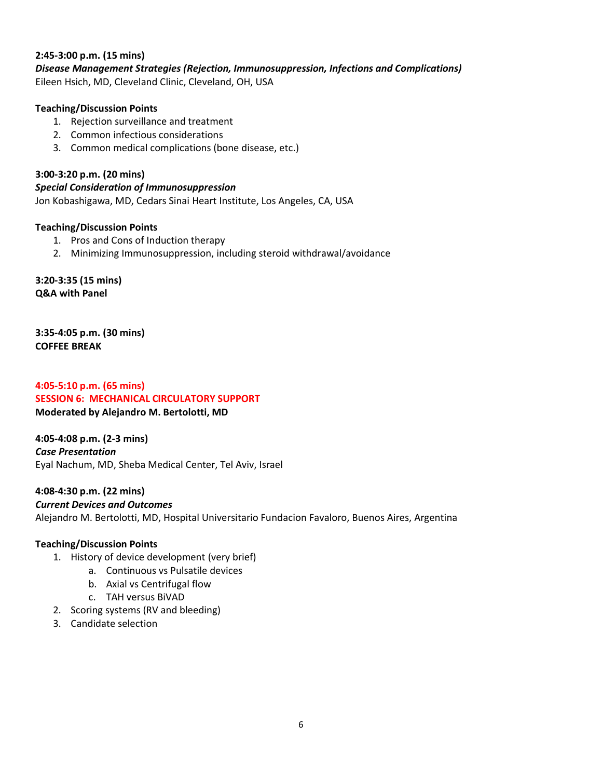#### **2:45-3:00 p.m. (15 mins)**

*Disease Management Strategies (Rejection, Immunosuppression, Infections and Complications)* Eileen Hsich, MD, Cleveland Clinic, Cleveland, OH, USA

#### **Teaching/Discussion Points**

- 1. Rejection surveillance and treatment
- 2. Common infectious considerations
- 3. Common medical complications (bone disease, etc.)

## **3:00-3:20 p.m. (20 mins)**

*Special Consideration of Immunosuppression*

Jon Kobashigawa, MD, Cedars Sinai Heart Institute, Los Angeles, CA, USA

#### **Teaching/Discussion Points**

- 1. Pros and Cons of Induction therapy
- 2. Minimizing Immunosuppression, including steroid withdrawal/avoidance

**3:20-3:35 (15 mins) Q&A with Panel**

**3:35-4:05 p.m. (30 mins) COFFEE BREAK**

# **4:05-5:10 p.m. (65 mins) SESSION 6: MECHANICAL CIRCULATORY SUPPORT**

**Moderated by Alejandro M. Bertolotti, MD** 

**4:05-4:08 p.m. (2-3 mins)** *Case Presentation*  Eyal Nachum, MD, Sheba Medical Center, Tel Aviv, Israel

**4:08-4:30 p.m. (22 mins)**

#### *Current Devices and Outcomes*

Alejandro M. Bertolotti, MD, Hospital Universitario Fundacion Favaloro, Buenos Aires, Argentina

- 1. History of device development (very brief)
	- a. Continuous vs Pulsatile devices
	- b. Axial vs Centrifugal flow
	- c. TAH versus BiVAD
- 2. Scoring systems (RV and bleeding)
- 3. Candidate selection